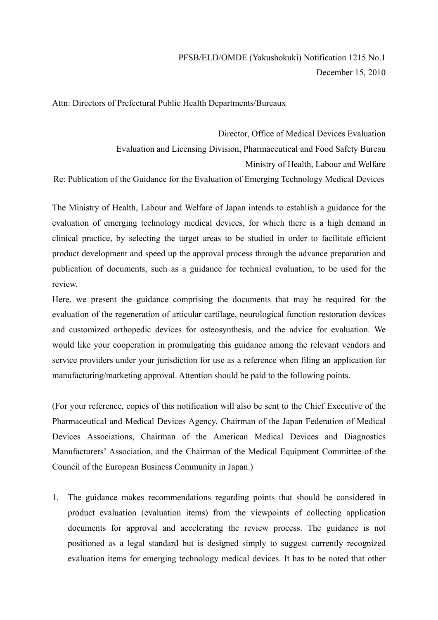Attn: Directors of Prefectural Public Health Departments/Bureaux

Director, Office of Medical Devices Evaluation Evaluation and Licensing Division, Pharmaceutical and Food Safety Bureau Ministry of Health, Labour and Welfare Re: Publication of the Guidance for the Evaluation of Emerging Technology Medical Devices

The Ministry of Health, Labour and Welfare of Japan intends to establish a guidance for the evaluation of emerging technology medical devices, for which there is a high demand in clinical practice, by selecting the target areas to be studied in order to facilitate efficient product development and speed up the approval process through the advance preparation and publication of documents, such as a guidance for technical evaluation, to be used for the review.

Here, we present the guidance comprising the documents that may be required for the evaluation of the regeneration of articular cartilage, neurological function restoration devices and customized orthopedic devices for osteosynthesis, and the advice for evaluation. We would like your cooperation in promulgating this guidance among the relevant vendors and service providers under your jurisdiction for use as a reference when filing an application for manufacturing/marketing approval. Attention should be paid to the following points.

(For your reference, copies of this notification will also be sent to the Chief Executive of the Pharmaceutical and Medical Devices Agency, Chairman of the Japan Federation of Medical Devices Associations, Chairman of the American Medical Devices and Diagnostics Manufacturers' Association, and the Chairman of the Medical Equipment Committee of the Council of the European Business Community in Japan.)

1. The guidance makes recommendations regarding points that should be considered in product evaluation (evaluation items) from the viewpoints of collecting application documents for approval and accelerating the review process. The guidance is not positioned as a legal standard but is designed simply to suggest currently recognized evaluation items for emerging technology medical devices. It has to be noted that other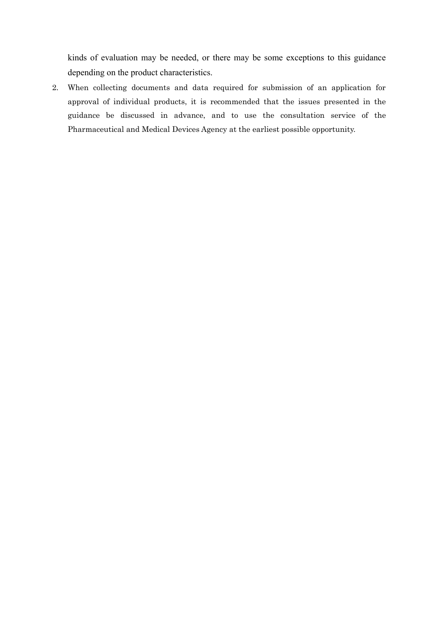kinds of evaluation may be needed, or there may be some exceptions to this guidance depending on the product characteristics.

2. When collecting documents and data required for submission of an application for approval of individual products, it is recommended that the issues presented in the guidance be discussed in advance, and to use the consultation service of the Pharmaceutical and Medical Devices Agency at the earliest possible opportunity.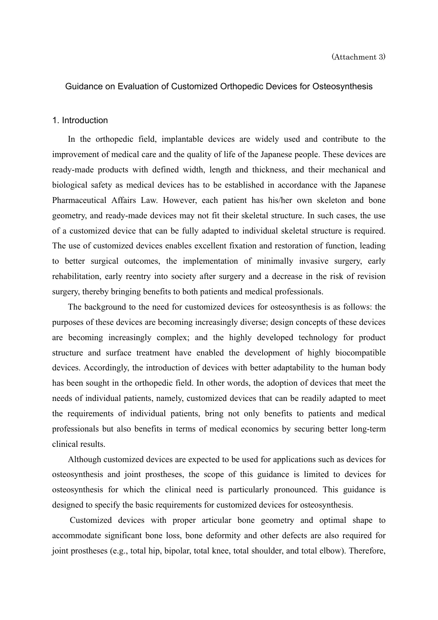# Guidance on Evaluation of Customized Orthopedic Devices for Osteosynthesis

### 1. Introduction

In the orthopedic field, implantable devices are widely used and contribute to the improvement of medical care and the quality of life of the Japanese people. These devices are ready-made products with defined width, length and thickness, and their mechanical and biological safety as medical devices has to be established in accordance with the Japanese Pharmaceutical Affairs Law. However, each patient has his/her own skeleton and bone geometry, and ready-made devices may not fit their skeletal structure. In such cases, the use of a customized device that can be fully adapted to individual skeletal structure is required. The use of customized devices enables excellent fixation and restoration of function, leading to better surgical outcomes, the implementation of minimally invasive surgery, early rehabilitation, early reentry into society after surgery and a decrease in the risk of revision surgery, thereby bringing benefits to both patients and medical professionals.

The background to the need for customized devices for osteosynthesis is as follows: the purposes of these devices are becoming increasingly diverse; design concepts of these devices are becoming increasingly complex; and the highly developed technology for product structure and surface treatment have enabled the development of highly biocompatible devices. Accordingly, the introduction of devices with better adaptability to the human body has been sought in the orthopedic field. In other words, the adoption of devices that meet the needs of individual patients, namely, customized devices that can be readily adapted to meet the requirements of individual patients, bring not only benefits to patients and medical professionals but also benefits in terms of medical economics by securing better long-term clinical results.

Although customized devices are expected to be used for applications such as devices for osteosynthesis and joint prostheses, the scope of this guidance is limited to devices for osteosynthesis for which the clinical need is particularly pronounced. This guidance is designed to specify the basic requirements for customized devices for osteosynthesis.

Customized devices with proper articular bone geometry and optimal shape to accommodate significant bone loss, bone deformity and other defects are also required for joint prostheses (e.g., total hip, bipolar, total knee, total shoulder, and total elbow). Therefore,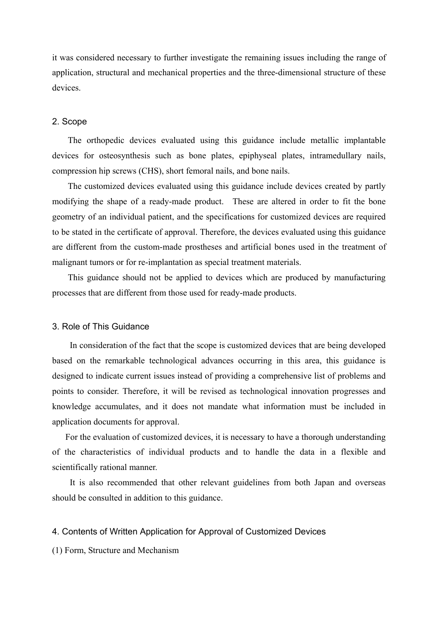it was considered necessary to further investigate the remaining issues including the range of application, structural and mechanical properties and the three-dimensional structure of these devices.

### 2. Scope

The orthopedic devices evaluated using this guidance include metallic implantable devices for osteosynthesis such as bone plates, epiphyseal plates, intramedullary nails, compression hip screws (CHS), short femoral nails, and bone nails.

The customized devices evaluated using this guidance include devices created by partly modifying the shape of a ready-made product. These are altered in order to fit the bone geometry of an individual patient, and the specifications for customized devices are required to be stated in the certificate of approval. Therefore, the devices evaluated using this guidance are different from the custom-made prostheses and artificial bones used in the treatment of malignant tumors or for re-implantation as special treatment materials.

This guidance should not be applied to devices which are produced by manufacturing processes that are different from those used for ready-made products.

## 3. Role of This Guidance

In consideration of the fact that the scope is customized devices that are being developed based on the remarkable technological advances occurring in this area, this guidance is designed to indicate current issues instead of providing a comprehensive list of problems and points to consider. Therefore, it will be revised as technological innovation progresses and knowledge accumulates, and it does not mandate what information must be included in application documents for approval.

For the evaluation of customized devices, it is necessary to have a thorough understanding of the characteristics of individual products and to handle the data in a flexible and scientifically rational manner.

It is also recommended that other relevant guidelines from both Japan and overseas should be consulted in addition to this guidance.

#### 4. Contents of Written Application for Approval of Customized Devices

(1) Form, Structure and Mechanism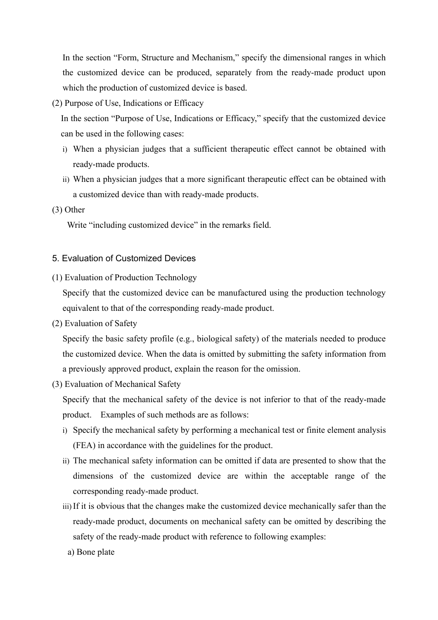In the section "Form, Structure and Mechanism," specify the dimensional ranges in which the customized device can be produced, separately from the ready-made product upon which the production of customized device is based.

(2) Purpose of Use, Indications or Efficacy

In the section "Purpose of Use, Indications or Efficacy," specify that the customized device can be used in the following cases:

- i) When a physician judges that a sufficient therapeutic effect cannot be obtained with ready-made products.
- ii) When a physician judges that a more significant therapeutic effect can be obtained with a customized device than with ready-made products.
- (3) Other

Write "including customized device" in the remarks field.

# 5. Evaluation of Customized Devices

(1) Evaluation of Production Technology

Specify that the customized device can be manufactured using the production technology equivalent to that of the corresponding ready-made product.

(2) Evaluation of Safety

Specify the basic safety profile (e.g., biological safety) of the materials needed to produce the customized device. When the data is omitted by submitting the safety information from a previously approved product, explain the reason for the omission.

(3) Evaluation of Mechanical Safety

Specify that the mechanical safety of the device is not inferior to that of the ready-made product. Examples of such methods are as follows:

- i) Specify the mechanical safety by performing a mechanical test or finite element analysis (FEA) in accordance with the guidelines for the product.
- ii) The mechanical safety information can be omitted if data are presented to show that the dimensions of the customized device are within the acceptable range of the corresponding ready-made product.
- iii) If it is obvious that the changes make the customized device mechanically safer than the ready-made product, documents on mechanical safety can be omitted by describing the safety of the ready-made product with reference to following examples:
- a) Bone plate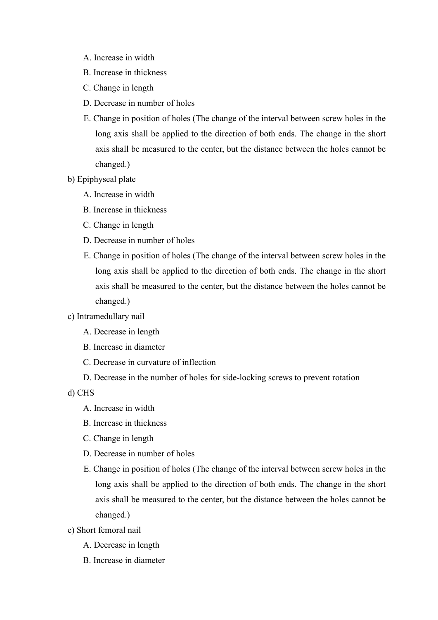- A. Increase in width
- B. Increase in thickness
- C. Change in length
- D. Decrease in number of holes
- E. Change in position of holes (The change of the interval between screw holes in the long axis shall be applied to the direction of both ends. The change in the short axis shall be measured to the center, but the distance between the holes cannot be changed.)
- b) Epiphyseal plate
	- A. Increase in width
	- B. Increase in thickness
	- C. Change in length
	- D. Decrease in number of holes
	- E. Change in position of holes (The change of the interval between screw holes in the long axis shall be applied to the direction of both ends. The change in the short axis shall be measured to the center, but the distance between the holes cannot be changed.)
- c) Intramedullary nail
	- A. Decrease in length
	- B. Increase in diameter
	- C. Decrease in curvature of inflection
	- D. Decrease in the number of holes for side-locking screws to prevent rotation

d) CHS

- A. Increase in width
- B. Increase in thickness
- C. Change in length
- D. Decrease in number of holes
- E. Change in position of holes (The change of the interval between screw holes in the long axis shall be applied to the direction of both ends. The change in the short axis shall be measured to the center, but the distance between the holes cannot be changed.)
- e) Short femoral nail
	- A. Decrease in length
	- B. Increase in diameter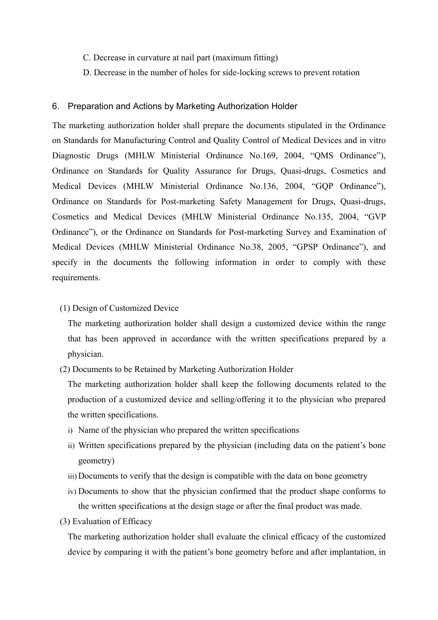- C. Decrease in curvature at nail part (maximum fitting)
- D. Decrease in the number of holes for side-locking screws to prevent rotation

## 6. Preparation and Actions by Marketing Authorization Holder

The marketing authorization holder shall prepare the documents stipulated in the Ordinance on Standards for Manufacturing Control and Quality Control of Medical Devices and in vitro Diagnostic Drugs (MHLW Ministerial Ordinance No.169, 2004, "QMS Ordinance"), Ordinance on Standards for Quality Assurance for Drugs, Quasi-drugs, Cosmetics and Medical Devices (MHLW Ministerial Ordinance No.136, 2004, "GQP Ordinance"), Ordinance on Standards for Post-marketing Safety Management for Drugs, Quasi-drugs, Cosmetics and Medical Devices (MHLW Ministerial Ordinance No.135, 2004, "GVP Ordinance"), or the Ordinance on Standards for Post-marketing Survey and Examination of Medical Devices (MHLW Ministerial Ordinance No.38, 2005, "GPSP Ordinance"), and specify in the documents the following information in order to comply with these requirements.

## (1) Design of Customized Device

The marketing authorization holder shall design a customized device within the range that has been approved in accordance with the written specifications prepared by a physician.

(2) Documents to be Retained by Marketing Authorization Holder

The marketing authorization holder shall keep the following documents related to the production of a customized device and selling/offering it to the physician who prepared the written specifications.

- i) Name of the physician who prepared the written specifications
- ii) Written specifications prepared by the physician (including data on the patient's bone geometry)
- iii) Documents to verify that the design is compatible with the data on bone geometry
- iv) Documents to show that the physician confirmed that the product shape conforms to the written specifications at the design stage or after the final product was made.
- (3) Evaluation of Efficacy

The marketing authorization holder shall evaluate the clinical efficacy of the customized device by comparing it with the patient's bone geometry before and after implantation, in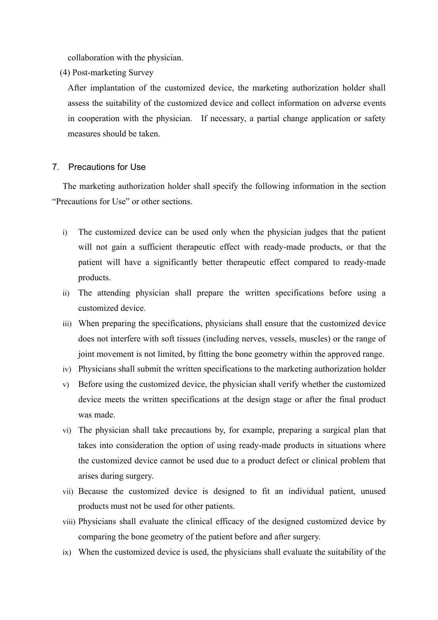collaboration with the physician.

(4) Post-marketing Survey

After implantation of the customized device, the marketing authorization holder shall assess the suitability of the customized device and collect information on adverse events in cooperation with the physician. If necessary, a partial change application or safety measures should be taken.

## 7. Precautions for Use

The marketing authorization holder shall specify the following information in the section "Precautions for Use" or other sections.

- i) The customized device can be used only when the physician judges that the patient will not gain a sufficient therapeutic effect with ready-made products, or that the patient will have a significantly better therapeutic effect compared to ready-made products.
- ii) The attending physician shall prepare the written specifications before using a customized device.
- iii) When preparing the specifications, physicians shall ensure that the customized device does not interfere with soft tissues (including nerves, vessels, muscles) or the range of joint movement is not limited, by fitting the bone geometry within the approved range.
- iv) Physicians shall submit the written specifications to the marketing authorization holder
- v) Before using the customized device, the physician shall verify whether the customized device meets the written specifications at the design stage or after the final product was made.
- vi) The physician shall take precautions by, for example, preparing a surgical plan that takes into consideration the option of using ready-made products in situations where the customized device cannot be used due to a product defect or clinical problem that arises during surgery.
- vii) Because the customized device is designed to fit an individual patient, unused products must not be used for other patients.
- viii) Physicians shall evaluate the clinical efficacy of the designed customized device by comparing the bone geometry of the patient before and after surgery.
- ix) When the customized device is used, the physicians shall evaluate the suitability of the